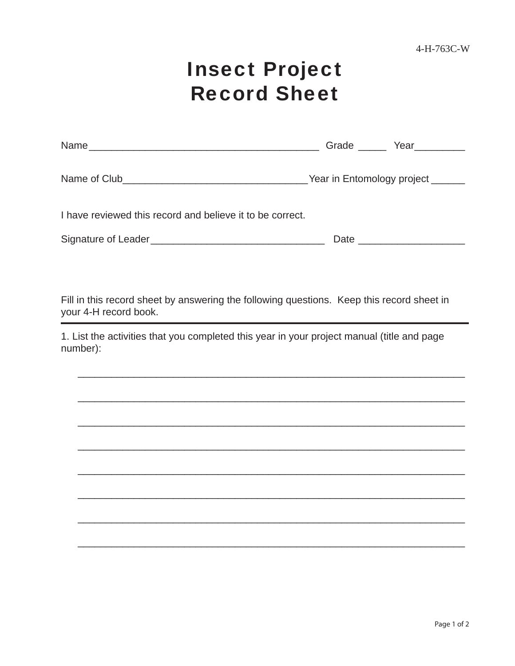## Insect Project Record Sheet

| Name                                                      | Grade ______ Year_________ |  |  |  |
|-----------------------------------------------------------|----------------------------|--|--|--|
|                                                           |                            |  |  |  |
| I have reviewed this record and believe it to be correct. |                            |  |  |  |
|                                                           |                            |  |  |  |

Fill in this record sheet by answering the following questions. Keep this record sheet in your 4-H record book.

1. List the activities that you completed this year in your project manual (title and page number):